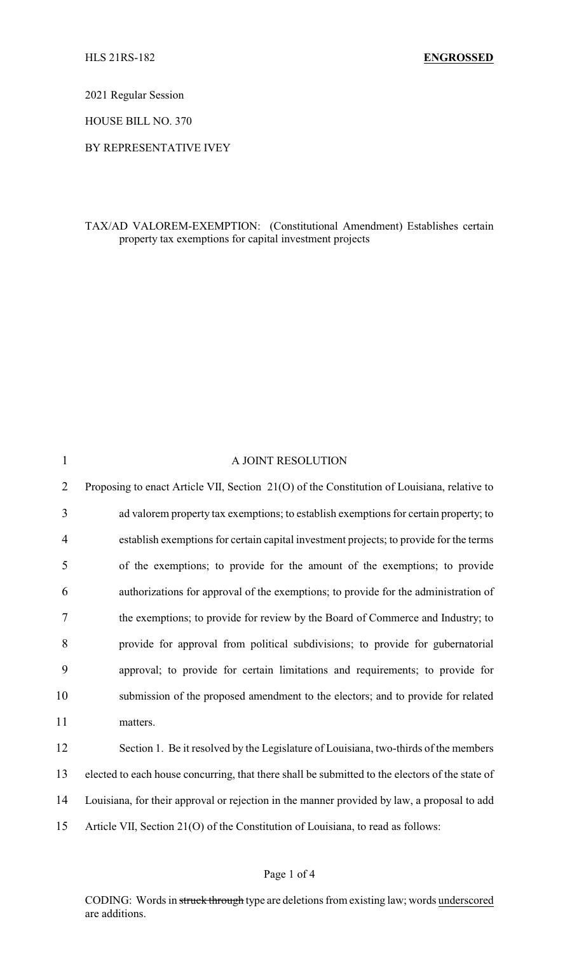2021 Regular Session

HOUSE BILL NO. 370

BY REPRESENTATIVE IVEY

## TAX/AD VALOREM-EXEMPTION: (Constitutional Amendment) Establishes certain property tax exemptions for capital investment projects

| $\mathbf{1}$   | A JOINT RESOLUTION                                                                              |
|----------------|-------------------------------------------------------------------------------------------------|
| $\overline{2}$ | Proposing to enact Article VII, Section 21(O) of the Constitution of Louisiana, relative to     |
| 3              | ad valorem property tax exemptions; to establish exemptions for certain property; to            |
| 4              | establish exemptions for certain capital investment projects; to provide for the terms          |
| 5              | of the exemptions; to provide for the amount of the exemptions; to provide                      |
| 6              | authorizations for approval of the exemptions; to provide for the administration of             |
| $\tau$         | the exemptions; to provide for review by the Board of Commerce and Industry; to                 |
| 8              | provide for approval from political subdivisions; to provide for gubernatorial                  |
| 9              | approval; to provide for certain limitations and requirements; to provide for                   |
| 10             | submission of the proposed amendment to the electors; and to provide for related                |
| 11             | matters.                                                                                        |
| 12             | Section 1. Be it resolved by the Legislature of Louisiana, two-thirds of the members            |
| 13             | elected to each house concurring, that there shall be submitted to the electors of the state of |
| 14             | Louisiana, for their approval or rejection in the manner provided by law, a proposal to add     |
| 15             | Article VII, Section 21(O) of the Constitution of Louisiana, to read as follows:                |
|                |                                                                                                 |

## Page 1 of 4

CODING: Words in struck through type are deletions from existing law; words underscored are additions.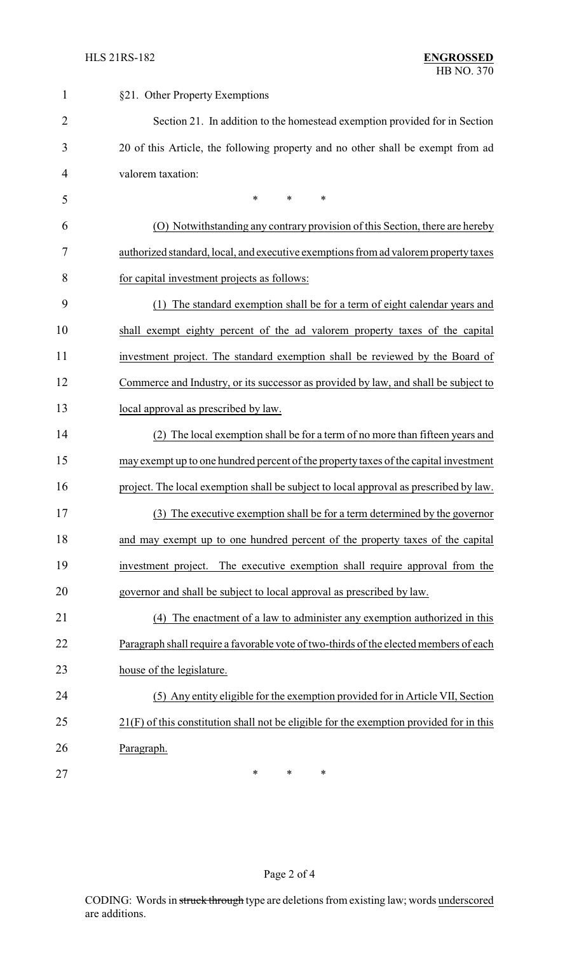| $\mathbf{1}$   | §21. Other Property Exemptions                                                            |
|----------------|-------------------------------------------------------------------------------------------|
| $\overline{2}$ | Section 21. In addition to the homestead exemption provided for in Section                |
| 3              | 20 of this Article, the following property and no other shall be exempt from ad           |
| 4              | valorem taxation:                                                                         |
| 5              | *<br>*<br>$\ast$                                                                          |
| 6              | (O) Notwithstanding any contrary provision of this Section, there are hereby              |
| 7              | authorized standard, local, and executive exemptions from ad valorem property taxes       |
| 8              | for capital investment projects as follows:                                               |
| 9              | The standard exemption shall be for a term of eight calendar years and<br>(1)             |
| 10             | shall exempt eighty percent of the ad valorem property taxes of the capital               |
| 11             | investment project. The standard exemption shall be reviewed by the Board of              |
| 12             | Commerce and Industry, or its successor as provided by law, and shall be subject to       |
| 13             | local approval as prescribed by law.                                                      |
| 14             | (2) The local exemption shall be for a term of no more than fifteen years and             |
| 15             | may exempt up to one hundred percent of the property taxes of the capital investment      |
| 16             | project. The local exemption shall be subject to local approval as prescribed by law.     |
| 17             | (3) The executive exemption shall be for a term determined by the governor                |
| 18             | and may exempt up to one hundred percent of the property taxes of the capital             |
| 19             | investment project. The executive exemption shall require approval from the               |
| 20             | governor and shall be subject to local approval as prescribed by law.                     |
| 21             | (4) The enactment of a law to administer any exemption authorized in this                 |
| 22             | Paragraph shall require a favorable vote of two-thirds of the elected members of each     |
| 23             | house of the legislature.                                                                 |
| 24             | (5) Any entity eligible for the exemption provided for in Article VII, Section            |
| 25             | $21(F)$ of this constitution shall not be eligible for the exemption provided for in this |
| 26             | Paragraph.                                                                                |
| 27             | $\ast$<br>∗<br>*                                                                          |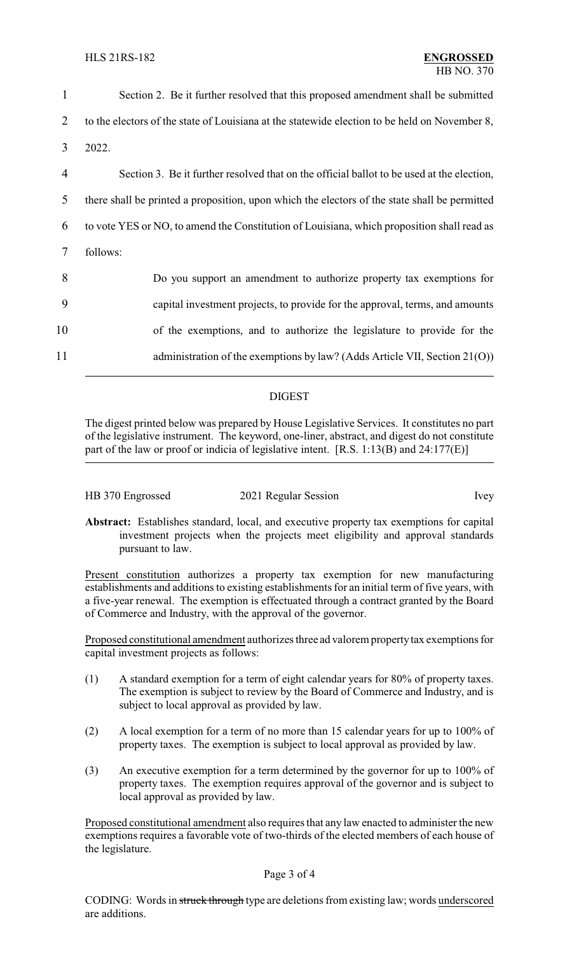| 1              | Section 2. Be it further resolved that this proposed amendment shall be submitted             |
|----------------|-----------------------------------------------------------------------------------------------|
| 2              | to the electors of the state of Louisiana at the statewide election to be held on November 8, |
| 3              | 2022.                                                                                         |
| $\overline{4}$ | Section 3. Be it further resolved that on the official ballot to be used at the election,     |
| 5              | there shall be printed a proposition, upon which the electors of the state shall be permitted |
| 6              | to vote YES or NO, to amend the Constitution of Louisiana, which proposition shall read as    |
| 7              | follows:                                                                                      |
| 8              | Do you support an amendment to authorize property tax exemptions for                          |
| 9              | capital investment projects, to provide for the approval, terms, and amounts                  |
| 10             | of the exemptions, and to authorize the legislature to provide for the                        |
| 11             | administration of the exemptions by law? (Adds Article VII, Section 21(O))                    |

## DIGEST

The digest printed below was prepared by House Legislative Services. It constitutes no part of the legislative instrument. The keyword, one-liner, abstract, and digest do not constitute part of the law or proof or indicia of legislative intent. [R.S. 1:13(B) and 24:177(E)]

| HB 370 Engrossed | 2021 Regular Session | Ivey |
|------------------|----------------------|------|
|------------------|----------------------|------|

**Abstract:** Establishes standard, local, and executive property tax exemptions for capital investment projects when the projects meet eligibility and approval standards pursuant to law.

Present constitution authorizes a property tax exemption for new manufacturing establishments and additions to existing establishments for an initial term of five years, with a five-year renewal. The exemption is effectuated through a contract granted by the Board of Commerce and Industry, with the approval of the governor.

Proposed constitutional amendment authorizes three ad valorem property tax exemptions for capital investment projects as follows:

- (1) A standard exemption for a term of eight calendar years for 80% of property taxes. The exemption is subject to review by the Board of Commerce and Industry, and is subject to local approval as provided by law.
- (2) A local exemption for a term of no more than 15 calendar years for up to 100% of property taxes. The exemption is subject to local approval as provided by law.
- (3) An executive exemption for a term determined by the governor for up to 100% of property taxes. The exemption requires approval of the governor and is subject to local approval as provided by law.

Proposed constitutional amendment also requires that any law enacted to administer the new exemptions requires a favorable vote of two-thirds of the elected members of each house of the legislature.